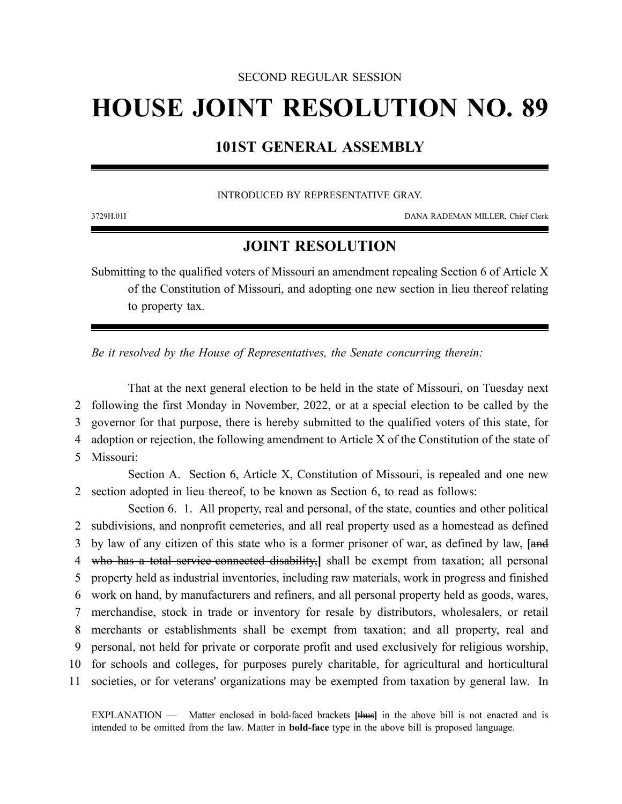### SECOND REGULAR SESSION

# **HOUSE JOINT RESOLUTION NO. 89**

# **101ST GENERAL ASSEMBLY**

#### INTRODUCED BY REPRESENTATIVE GRAY.

3729H.01I DANA RADEMAN MILLER, Chief Clerk

## **JOINT RESOLUTION**

Submitting to the qualified voters of Missouri an amendment repealing Section 6 of Article X of the Constitution of Missouri, and adopting one new section in lieu thereof relating to property tax.

*Be it resolved by the House of Representatives, the Senate concurring therein:*

That at the next general election to be held in the state of Missouri, on Tuesday next following the first Monday in November, 2022, or at a special election to be called by the governor for that purpose, there is hereby submitted to the qualified voters of this state, for adoption or rejection, the following amendment to Article X of the Constitution of the state of Missouri:

Section A. Section 6, Article X, Constitution of Missouri, is repealed and one new 2 section adopted in lieu thereof, to be known as Section 6, to read as follows:

Section 6. 1. All property, real and personal, of the state, counties and other political subdivisions, and nonprofit cemeteries, and all real property used as a homestead as defined by law of any citizen of this state who is a former prisoner of war, as defined by law, **[**and who has a total service-connected disability,**]** shall be exempt from taxation; all personal property held as industrial inventories, including raw materials, work in progress and finished work on hand, by manufacturers and refiners, and all personal property held as goods, wares, merchandise, stock in trade or inventory for resale by distributors, wholesalers, or retail merchants or establishments shall be exempt from taxation; and all property, real and personal, not held for private or corporate profit and used exclusively for religious worship, for schools and colleges, for purposes purely charitable, for agricultural and horticultural societies, or for veterans' organizations may be exempted from taxation by general law. In

EXPLANATION — Matter enclosed in bold-faced brackets **[**thus**]** in the above bill is not enacted and is intended to be omitted from the law. Matter in **bold-face** type in the above bill is proposed language.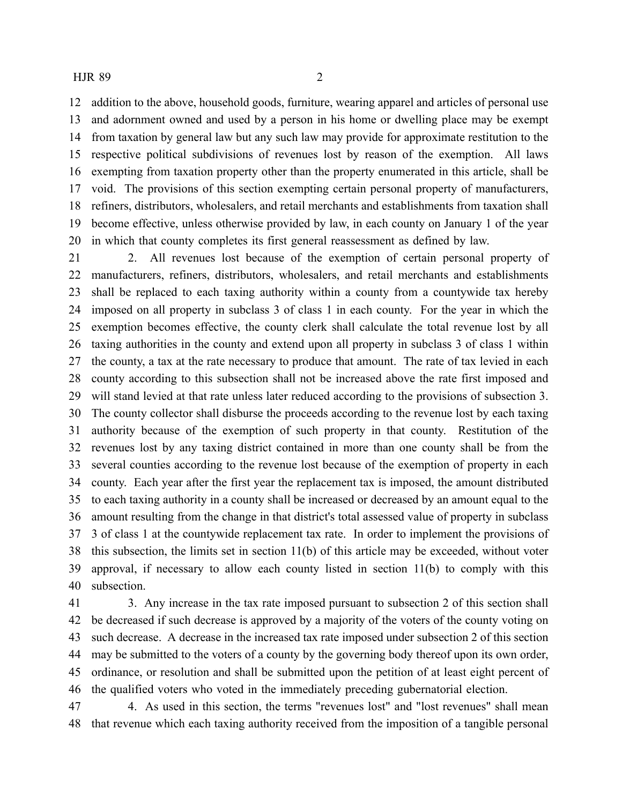#### HJR 89 2

 addition to the above, household goods, furniture, wearing apparel and articles of personal use and adornment owned and used by a person in his home or dwelling place may be exempt from taxation by general law but any such law may provide for approximate restitution to the respective political subdivisions of revenues lost by reason of the exemption. All laws exempting from taxation property other than the property enumerated in this article, shall be void. The provisions of this section exempting certain personal property of manufacturers, refiners, distributors, wholesalers, and retail merchants and establishments from taxation shall become effective, unless otherwise provided by law, in each county on January 1 of the year in which that county completes its first general reassessment as defined by law.

 2. All revenues lost because of the exemption of certain personal property of manufacturers, refiners, distributors, wholesalers, and retail merchants and establishments shall be replaced to each taxing authority within a county from a countywide tax hereby imposed on all property in subclass 3 of class 1 in each county. For the year in which the exemption becomes effective, the county clerk shall calculate the total revenue lost by all taxing authorities in the county and extend upon all property in subclass 3 of class 1 within the county, a tax at the rate necessary to produce that amount. The rate of tax levied in each county according to this subsection shall not be increased above the rate first imposed and will stand levied at that rate unless later reduced according to the provisions of subsection 3. The county collector shall disburse the proceeds according to the revenue lost by each taxing authority because of the exemption of such property in that county. Restitution of the revenues lost by any taxing district contained in more than one county shall be from the several counties according to the revenue lost because of the exemption of property in each county. Each year after the first year the replacement tax is imposed, the amount distributed to each taxing authority in a county shall be increased or decreased by an amount equal to the amount resulting from the change in that district's total assessed value of property in subclass 3 of class 1 at the countywide replacement tax rate. In order to implement the provisions of this subsection, the limits set in section 11(b) of this article may be exceeded, without voter approval, if necessary to allow each county listed in section 11(b) to comply with this subsection.

 3. Any increase in the tax rate imposed pursuant to subsection 2 of this section shall be decreased if such decrease is approved by a majority of the voters of the county voting on such decrease. A decrease in the increased tax rate imposed under subsection 2 of this section may be submitted to the voters of a county by the governing body thereof upon its own order, ordinance, or resolution and shall be submitted upon the petition of at least eight percent of the qualified voters who voted in the immediately preceding gubernatorial election.

 4. As used in this section, the terms "revenues lost" and "lost revenues" shall mean that revenue which each taxing authority received from the imposition of a tangible personal